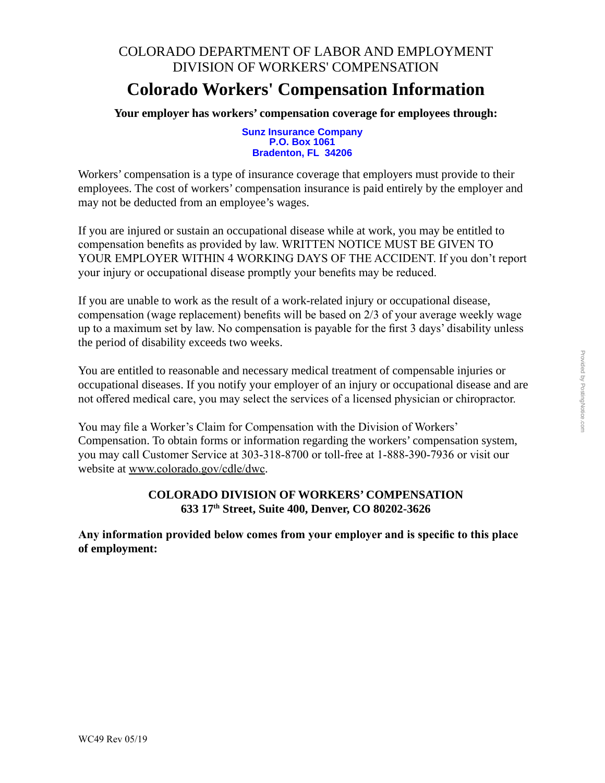### COLORADO DEPARTMENT OF LABOR AND EMPLOYMENT DIVISION OF WORKERS' COMPENSATION

#### **Colorado Workers' Compensation Information**

**Your employer has workers' compensation coverage for employees through:**

**Sunz Insurance Company P.O. Box 1061 Bradenton, FL 34206**

Workers' compensation is a type of insurance coverage that employers must provide to their employees. The cost of workers' compensation insurance is paid entirely by the employer and may not be deducted from an employee's wages.

If you are injured or sustain an occupational disease while at work, you may be entitled to compensation benefits as provided by law. WRITTEN NOTICE MUST BE GIVEN TO YOUR EMPLOYER WITHIN 4 WORKING DAYS OF THE ACCIDENT. If you don't report your injury or occupational disease promptly your benefits may be reduced.

If you are unable to work as the result of a work-related injury or occupational disease, compensation (wage replacement) benefits will be based on 2/3 of your average weekly wage up to a maximum set by law. No compensation is payable for the first 3 days' disability unless the period of disability exceeds two weeks.

You are entitled to reasonable and necessary medical treatment of compensable injuries or occupational diseases. If you notify your employer of an injury or occupational disease and are not offered medical care, you may select the services of a licensed physician or chiropractor.

You may file a Worker's Claim for Compensation with the Division of Workers' Compensation. To obtain forms or information regarding the workers' compensation system, you may call Customer Service at 303-318-8700 or toll-free at 1-888-390-7936 or visit our website at www.colorado.gov/cdle/dwc.

#### **COLORADO DIVISION OF WORKERS' COMPENSATION 633 17th Street, Suite 400, Denver, CO 80202-3626**

**Any information provided below comes from your employer and is specific to this place of employment:**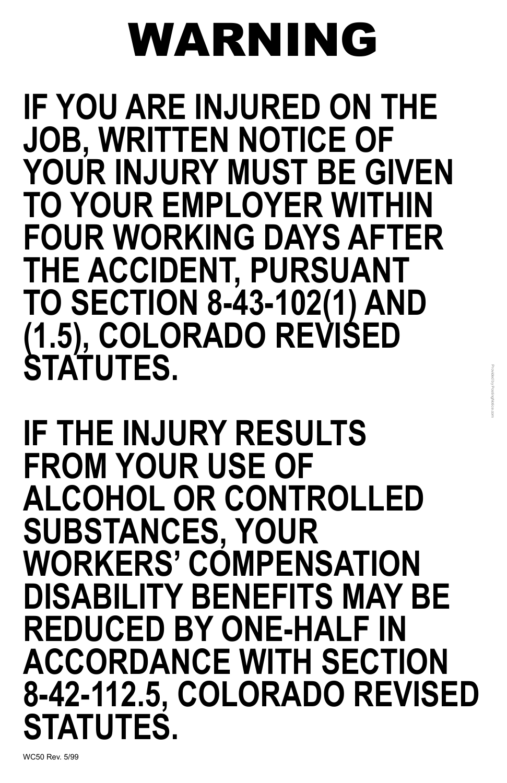WC50 Rev. 5/99

# WARNING

**IF YOU ARE INJURED ON THE JOB, WRITTEN NOTICE OF YOUR INJURY MUST BE GIVEN TO YOUR EMPLOYER WITHIN FOUR WORKING DAYS AFTER THE ACCIDENT, PURSUANT TO SECTION 8-43-102(1) AND (1.5), COLORADO REVISED STATUTES.**

**IF THE INJURY RESULTS FROM YOUR USE OF ALCOHOL OR CONTROLLED SUBSTANCES, YOUR WORKERS' COMPENSATION** 

## **DISABILITY BENEFITS MAY BE REDUCED BY ONE-HALF IN ACCORDANCE WITH SECTION 8-42-112.5, COLORADO REVISED STATUTES.**